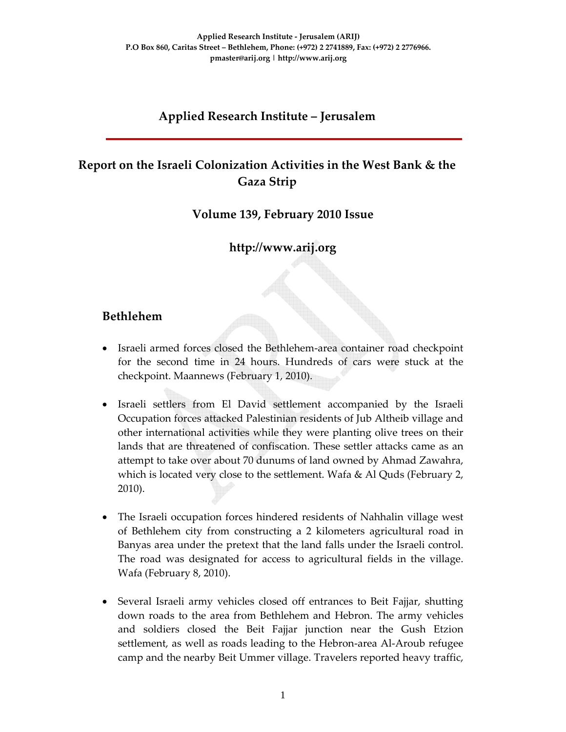# **Applied Research Institute – Jerusalem**

# **Report on the Israeli Colonization Activities in the West Bank & the Gaza Strip**

**Volume 139, February 2010 Issue** 

**http://www.arij.org**

## **Bethlehem**

- Israeli armed forces closed the Bethlehem-area container road checkpoint for the second time in 24 hours. Hundreds of cars were stuck at the checkpoint. Maannews (February 1, 2010).
- Israeli settlers from El David settlement accompanied by the Israeli Occupation forces attacked Palestinian residents of Jub Altheib village and other international activities while they were planting olive trees on their lands that are threatened of confiscation. These settler attacks came as an attempt to take over about 70 dunums of land owned by Ahmad Zawahra, which is located very close to the settlement. Wafa & Al Quds (February 2, 2010).
- The Israeli occupation forces hindered residents of Nahhalin village west of Bethlehem city from constructing a 2 kilometers agricultural road in Banyas area under the pretext that the land falls under the Israeli control. The road was designated for access to agricultural fields in the village. Wafa (February 8, 2010).
- Several Israeli army vehicles closed off entrances to Beit Fajjar, shutting down roads to the area from Bethlehem and Hebron. The army vehicles and soldiers closed the Beit Fajjar junction near the Gush Etzion settlement, as well as roads leading to the Hebron-area Al-Aroub refugee camp and the nearby Beit Ummer village. Travelers reported heavy traffic,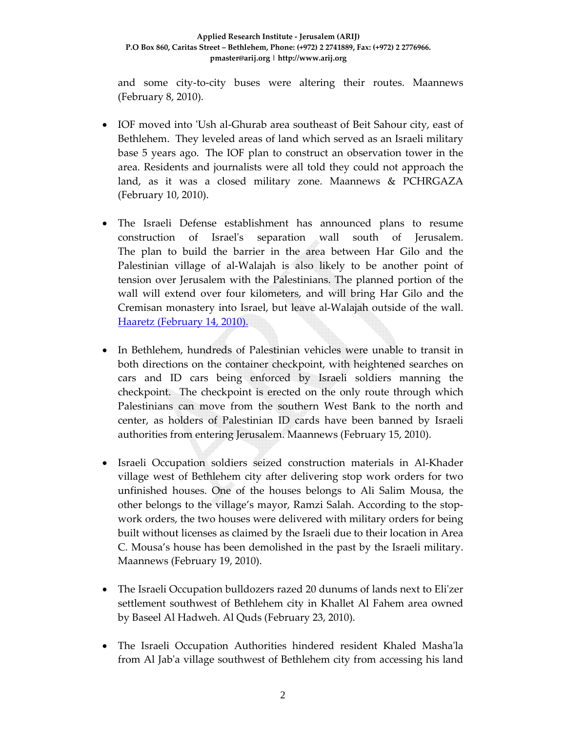#### **Applied Research Institute ‐ Jerusalem (ARIJ) P.O Box 860, Caritas Street – Bethlehem, Phone: (+972) 2 2741889, Fax: (+972) 2 2776966. pmaster@arij.org | http://www.arij.org**

and some city‐to‐city buses were altering their routes. Maannews (February 8, 2010).

- IOF moved into 'Ush al-Ghurab area southeast of Beit Sahour city, east of Bethlehem. They leveled areas of land which served as an Israeli military base 5 years ago. The IOF plan to construct an observation tower in the area. Residents and journalists were all told they could not approach the land, as it was a closed military zone. Maannews & PCHRGAZA (February 10, 2010).
- The Israeli Defense establishment has announced plans to resume construction of Israelʹs separation wall south of Jerusalem. The plan to build the barrier in the area between Har Gilo and the Palestinian village of al‐Walajah is also likely to be another point of tension over Jerusalem with the Palestinians. The planned portion of the wall will extend over four kilometers, and will bring Har Gilo and the Cremisan monastery into Israel, but leave al‐Walajah outside of the wall. Haaretz (February 14, 2010).
- In Bethlehem, hundreds of Palestinian vehicles were unable to transit in both directions on the container checkpoint, with heightened searches on cars and ID cars being enforced by Israeli soldiers manning the checkpoint. The checkpoint is erected on the only route through which Palestinians can move from the southern West Bank to the north and center, as holders of Palestinian ID cards have been banned by Israeli authorities from entering Jerusalem. Maannews (February 15, 2010).
- Israeli Occupation soldiers seized construction materials in Al‐Khader village west of Bethlehem city after delivering stop work orders for two unfinished houses. One of the houses belongs to Ali Salim Mousa, the other belongs to the village's mayor, Ramzi Salah. According to the stop‐ work orders, the two houses were delivered with military orders for being built without licenses as claimed by the Israeli due to their location in Area C. Mousa's house has been demolished in the past by the Israeli military. Maannews (February 19, 2010).
- The Israeli Occupation bulldozers razed 20 dunums of lands next to Eli'zer settlement southwest of Bethlehem city in Khallet Al Fahem area owned by Baseel Al Hadweh. Al Quds (February 23, 2010).
- The Israeli Occupation Authorities hindered resident Khaled Mashaʹla from Al Jabʹa village southwest of Bethlehem city from accessing his land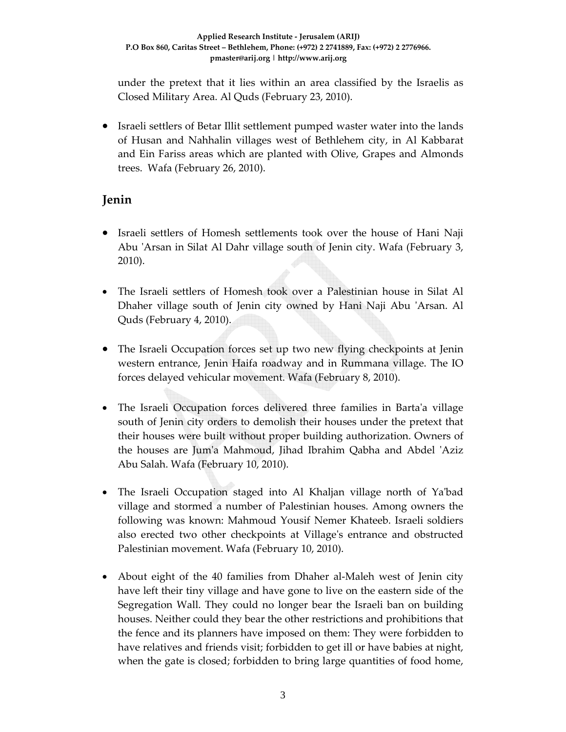under the pretext that it lies within an area classified by the Israelis as Closed Military Area. Al Quds (February 23, 2010).

• Israeli settlers of Betar Illit settlement pumped waster water into the lands of Husan and Nahhalin villages west of Bethlehem city, in Al Kabbarat and Ein Fariss areas which are planted with Olive, Grapes and Almonds trees. Wafa (February 26, 2010).

# **Jenin**

- Israeli settlers of Homesh settlements took over the house of Hani Naji Abu ʹArsan in Silat Al Dahr village south of Jenin city. Wafa (February 3, 2010).
- The Israeli settlers of Homesh took over a Palestinian house in Silat Al Dhaher village south of Jenin city owned by Hani Naji Abu 'Arsan. Al Quds (February 4, 2010).
- The Israeli Occupation forces set up two new flying checkpoints at Jenin western entrance, Jenin Haifa roadway and in Rummana village. The IO forces delayed vehicular movement. Wafa (February 8, 2010).
- The Israeli Occupation forces delivered three families in Barta'a village south of Jenin city orders to demolish their houses under the pretext that their houses were built without proper building authorization. Owners of the houses are Jumʹa Mahmoud, Jihad Ibrahim Qabha and Abdel ʹAziz Abu Salah. Wafa (February 10, 2010).
- The Israeli Occupation staged into Al Khaljan village north of Ya'bad village and stormed a number of Palestinian houses. Among owners the following was known: Mahmoud Yousif Nemer Khateeb. Israeli soldiers also erected two other checkpoints at Villageʹs entrance and obstructed Palestinian movement. Wafa (February 10, 2010).
- About eight of the 40 families from Dhaher al-Maleh west of Jenin city have left their tiny village and have gone to live on the eastern side of the Segregation Wall. They could no longer bear the Israeli ban on building houses. Neither could they bear the other restrictions and prohibitions that the fence and its planners have imposed on them: They were forbidden to have relatives and friends visit; forbidden to get ill or have babies at night, when the gate is closed; forbidden to bring large quantities of food home,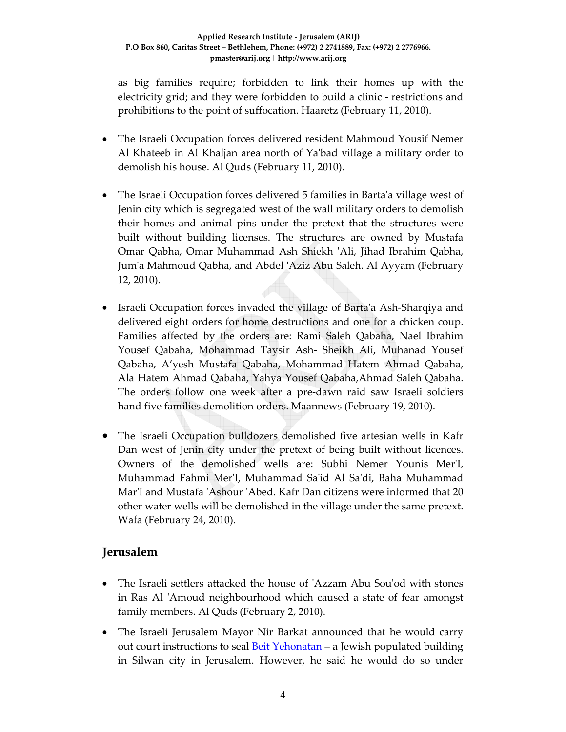as big families require; forbidden to link their homes up with the electricity grid; and they were forbidden to build a clinic ‐ restrictions and prohibitions to the point of suffocation. Haaretz (February 11, 2010).

- The Israeli Occupation forces delivered resident Mahmoud Yousif Nemer Al Khateeb in Al Khaljan area north of Ya'bad village a military order to demolish his house. Al Quds (February 11, 2010).
- The Israeli Occupation forces delivered 5 families in Barta'a village west of Jenin city which is segregated west of the wall military orders to demolish their homes and animal pins under the pretext that the structures were built without building licenses. The structures are owned by Mustafa Omar Qabha, Omar Muhammad Ash Shiekh ʹAli, Jihad Ibrahim Qabha, Jumʹa Mahmoud Qabha, and Abdel ʹAziz Abu Saleh. Al Ayyam (February 12, 2010).
- Israeli Occupation forces invaded the village of Barta'a Ash-Sharqiya and delivered eight orders for home destructions and one for a chicken coup. Families affected by the orders are: Rami Saleh Qabaha, Nael Ibrahim Yousef Qabaha, Mohammad Taysir Ash‐ Sheikh Ali, Muhanad Yousef Qabaha, A'yesh Mustafa Qabaha, Mohammad Hatem Ahmad Qabaha, Ala Hatem Ahmad Qabaha, Yahya Yousef Qabaha,Ahmad Saleh Qabaha. The orders follow one week after a pre‐dawn raid saw Israeli soldiers hand five families demolition orders. Maannews (February 19, 2010).
- The Israeli Occupation bulldozers demolished five artesian wells in Kafr Dan west of Jenin city under the pretext of being built without licences. Owners of the demolished wells are: Subhi Nemer Younis MerʹI, Muhammad Fahmi MerʹI, Muhammad Saʹid Al Saʹdi, Baha Muhammad Mar'I and Mustafa 'Ashour 'Abed. Kafr Dan citizens were informed that 20 other water wells will be demolished in the village under the same pretext. Wafa (February 24, 2010).

## **Jerusalem**

- The Israeli settlers attacked the house of 'Azzam Abu Sou'od with stones in Ras Al 'Amoud neighbourhood which caused a state of fear amongst family members. Al Quds (February 2, 2010).
- The Israeli Jerusalem Mayor Nir Barkat announced that he would carry out court instructions to seal **Beit Yehonatan** – a Jewish populated building in Silwan city in Jerusalem. However, he said he would do so under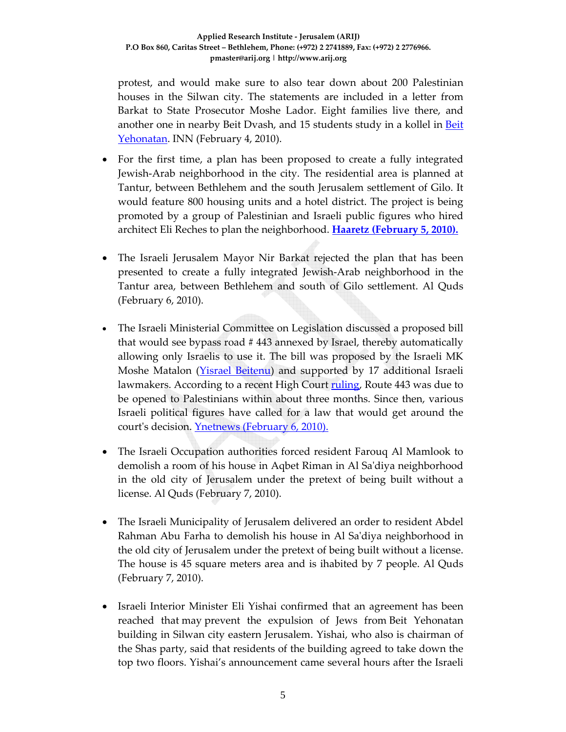protest, and would make sure to also tear down about 200 Palestinian houses in the Silwan city. The statements are included in a letter from Barkat to State Prosecutor Moshe Lador. Eight families live there, and another one in nearby Beit Dvash, and 15 students study in a kollel in Beit Yehonatan. INN (February 4, 2010).

- For the first time, a plan has been proposed to create a fully integrated Jewish‐Arab neighborhood in the city. The residential area is planned at Tantur, between Bethlehem and the south Jerusalem settlement of Gilo. It would feature 800 housing units and a hotel district. The project is being promoted by a group of Palestinian and Israeli public figures who hired architect Eli Reches to plan the neighborhood. **Haaretz (February 5, 2010).**
- The Israeli Jerusalem Mayor Nir Barkat rejected the plan that has been presented to create a fully integrated Jewish‐Arab neighborhood in the Tantur area, between Bethlehem and south of Gilo settlement. Al Quds (February 6, 2010).
- The Israeli Ministerial Committee on Legislation discussed a proposed bill that would see bypass road # 443 annexed by Israel, thereby automatically allowing only Israelis to use it. The bill was proposed by the Israeli MK Moshe Matalon (Yisrael Beitenu) and supported by 17 additional Israeli lawmakers. According to a recent High Court ruling, Route 443 was due to be opened to Palestinians within about three months. Since then, various Israeli political figures have called for a law that would get around the court's decision. Ynetnews (February 6, 2010).
- The Israeli Occupation authorities forced resident Farouq Al Mamlook to demolish a room of his house in Aqbet Riman in Al Saʹdiya neighborhood in the old city of Jerusalem under the pretext of being built without a license. Al Quds (February 7, 2010).
- The Israeli Municipality of Jerusalem delivered an order to resident Abdel Rahman Abu Farha to demolish his house in Al Saʹdiya neighborhood in the old city of Jerusalem under the pretext of being built without a license. The house is 45 square meters area and is ihabited by 7 people. Al Quds (February 7, 2010).
- Israeli Interior Minister Eli Yishai confirmed that an agreement has been reached that may prevent the expulsion of Jews from Beit Yehonatan building in Silwan city eastern Jerusalem. Yishai, who also is chairman of the Shas party, said that residents of the building agreed to take down the top two floors. Yishai's announcement came several hours after the Israeli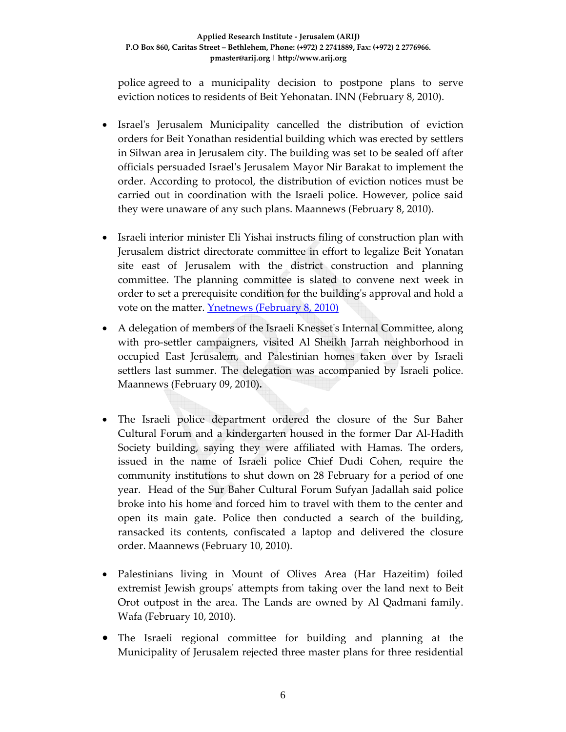police agreed to a municipality decision to postpone plans to serve eviction notices to residents of Beit Yehonatan. INN (February 8, 2010).

- Israel's Jerusalem Municipality cancelled the distribution of eviction orders for Beit Yonathan residential building which was erected by settlers in Silwan area in Jerusalem city. The building was set to be sealed off after officials persuaded Israelʹs Jerusalem Mayor Nir Barakat to implement the order. According to protocol, the distribution of eviction notices must be carried out in coordination with the Israeli police. However, police said they were unaware of any such plans. Maannews (February 8, 2010).
- Israeli interior minister Eli Yishai instructs filing of construction plan with Jerusalem district directorate committee in effort to legalize Beit Yonatan site east of Jerusalem with the district construction and planning committee. The planning committee is slated to convene next week in order to set a prerequisite condition for the buildingʹs approval and hold a vote on the matter. Ynetnews (February 8, 2010)
- A delegation of members of the Israeli Knesset's Internal Committee, along with pro‐settler campaigners, visited Al Sheikh Jarrah neighborhood in occupied East Jerusalem, and Palestinian homes taken over by Israeli settlers last summer. The delegation was accompanied by Israeli police. Maannews (February 09, 2010)**.**
- The Israeli police department ordered the closure of the Sur Baher Cultural Forum and a kindergarten housed in the former Dar Al‐Hadith Society building, saying they were affiliated with Hamas. The orders, issued in the name of Israeli police Chief Dudi Cohen, require the community institutions to shut down on 28 February for a period of one year. Head of the Sur Baher Cultural Forum Sufyan Jadallah said police broke into his home and forced him to travel with them to the center and open its main gate. Police then conducted a search of the building, ransacked its contents, confiscated a laptop and delivered the closure order. Maannews (February 10, 2010).
- Palestinians living in Mount of Olives Area (Har Hazeitim) foiled extremist Jewish groupsʹ attempts from taking over the land next to Beit Orot outpost in the area. The Lands are owned by Al Qadmani family. Wafa (February 10, 2010).
- The Israeli regional committee for building and planning at the Municipality of Jerusalem rejected three master plans for three residential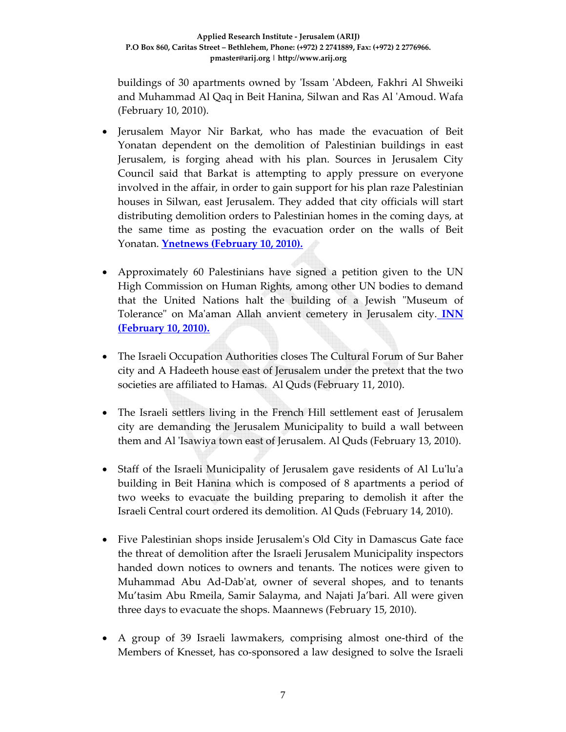buildings of 30 apartments owned by ʹIssam ʹAbdeen, Fakhri Al Shweiki and Muhammad Al Qaq in Beit Hanina, Silwan and Ras Al ʹAmoud. Wafa (February 10, 2010).

- Jerusalem Mayor Nir Barkat, who has made the evacuation of Beit Yonatan dependent on the demolition of Palestinian buildings in east Jerusalem, is forging ahead with his plan. Sources in Jerusalem City Council said that Barkat is attempting to apply pressure on everyone involved in the affair, in order to gain support for his plan raze Palestinian houses in Silwan, east Jerusalem. They added that city officials will start distributing demolition orders to Palestinian homes in the coming days, at the same time as posting the evacuation order on the walls of Beit Yonatan. **Ynetnews (February 10, 2010).**
- Approximately 60 Palestinians have signed a petition given to the UN High Commission on Human Rights, among other UN bodies to demand that the United Nations halt the building of a Jewish "Museum of Tolerance" on Ma'aman Allah anvient cemetery in Jerusalem city. **INN (February 10, 2010).**
- The Israeli Occupation Authorities closes The Cultural Forum of Sur Baher city and A Hadeeth house east of Jerusalem under the pretext that the two societies are affiliated to Hamas. Al Quds (February 11, 2010).
- The Israeli settlers living in the French Hill settlement east of Jerusalem city are demanding the Jerusalem Municipality to build a wall between them and Al 'Isawiya town east of Jerusalem. Al Quds (February 13, 2010).
- Staff of the Israeli Municipality of Jerusalem gave residents of Al Lu'lu'a building in Beit Hanina which is composed of 8 apartments a period of two weeks to evacuate the building preparing to demolish it after the Israeli Central court ordered its demolition. Al Quds (February 14, 2010).
- Five Palestinian shops inside Jerusalem's Old City in Damascus Gate face the threat of demolition after the Israeli Jerusalem Municipality inspectors handed down notices to owners and tenants. The notices were given to Muhammad Abu Ad‐Dabʹat, owner of several shopes, and to tenants Mu'tasim Abu Rmeila, Samir Salayma, and Najati Ja'bari. All were given three days to evacuate the shops. Maannews (February 15, 2010).
- A group of 39 Israeli lawmakers, comprising almost one-third of the Members of Knesset, has co-sponsored a law designed to solve the Israeli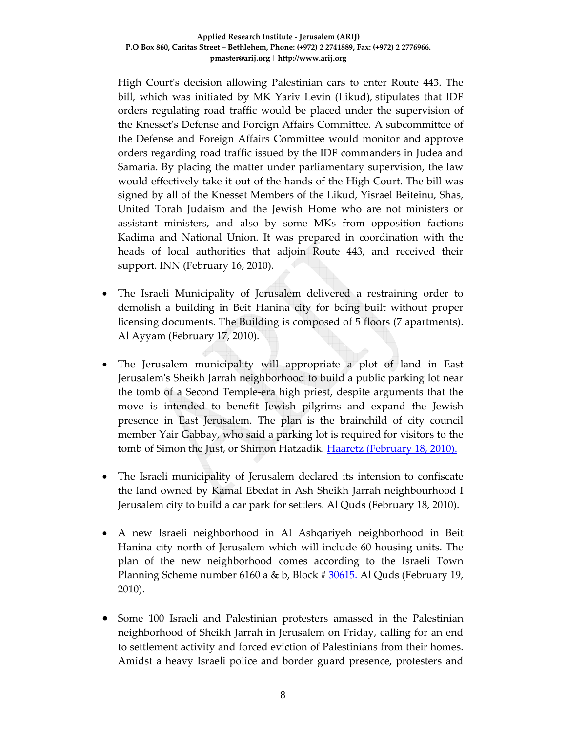High Courtʹs decision allowing Palestinian cars to enter Route 443. The bill, which was initiated by MK Yariv Levin (Likud), stipulates that IDF orders regulating road traffic would be placed under the supervision of the Knessetʹs Defense and Foreign Affairs Committee. A subcommittee of the Defense and Foreign Affairs Committee would monitor and approve orders regarding road traffic issued by the IDF commanders in Judea and Samaria. By placing the matter under parliamentary supervision, the law would effectively take it out of the hands of the High Court. The bill was signed by all of the Knesset Members of the Likud, Yisrael Beiteinu, Shas, United Torah Judaism and the Jewish Home who are not ministers or assistant ministers, and also by some MKs from opposition factions Kadima and National Union. It was prepared in coordination with the heads of local authorities that adjoin Route 443, and received their support. INN (February 16, 2010).

- The Israeli Municipality of Jerusalem delivered a restraining order to demolish a building in Beit Hanina city for being built without proper licensing documents. The Building is composed of 5 floors (7 apartments). Al Ayyam (February 17, 2010).
- The Jerusalem municipality will appropriate a plot of land in East Jerusalemʹs Sheikh Jarrah neighborhood to build a public parking lot near the tomb of a Second Temple‐era high priest, despite arguments that the move is intended to benefit Jewish pilgrims and expand the Jewish presence in East Jerusalem. The plan is the brainchild of city council member Yair Gabbay, who said a parking lot is required for visitors to the tomb of Simon the Just, or Shimon Hatzadik. Haaretz (February 18, 2010).
- The Israeli municipality of Jerusalem declared its intension to confiscate the land owned by Kamal Ebedat in Ash Sheikh Jarrah neighbourhood I Jerusalem city to build a car park for settlers. Al Quds (February 18, 2010).
- A new Israeli neighborhood in Al Ashqariyeh neighborhood in Beit Hanina city north of Jerusalem which will include 60 housing units. The plan of the new neighborhood comes according to the Israeli Town Planning Scheme number 6160 a & b, Block # 30615. Al Quds (February 19, 2010).
- Some 100 Israeli and Palestinian protesters amassed in the Palestinian neighborhood of Sheikh Jarrah in Jerusalem on Friday, calling for an end to settlement activity and forced eviction of Palestinians from their homes. Amidst a heavy Israeli police and border guard presence, protesters and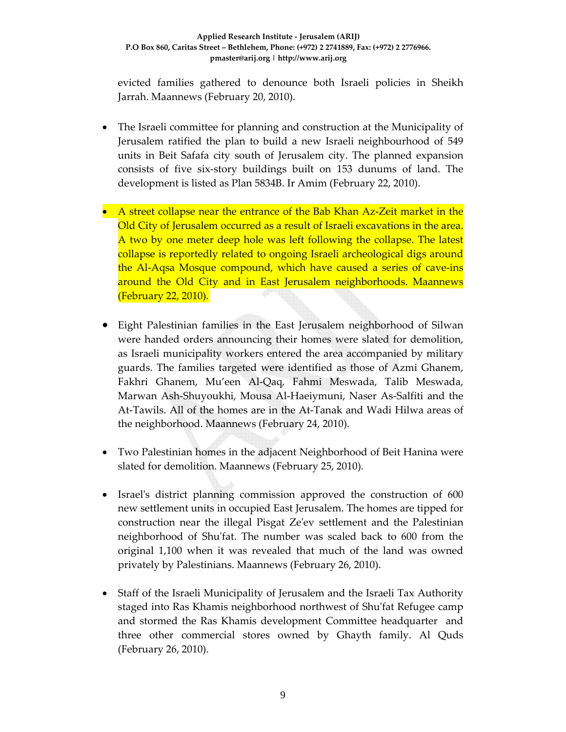evicted families gathered to denounce both Israeli policies in Sheikh Jarrah. Maannews (February 20, 2010).

- The Israeli committee for planning and construction at the Municipality of Jerusalem ratified the plan to build a new Israeli neighbourhood of 549 units in Beit Safafa city south of Jerusalem city. The planned expansion consists of five six‐story buildings built on 153 dunums of land. The development is listed as Plan 5834B. Ir Amim (February 22, 2010).
- A street collapse near the entrance of the Bab Khan Az-Zeit market in the Old City of Jerusalem occurred as a result of Israeli excavations in the area. A two by one meter deep hole was left following the collapse. The latest collapse is reportedly related to ongoing Israeli archeological digs around the Al‐Aqsa Mosque compound, which have caused a series of cave‐ins around the Old City and in East Jerusalem neighborhoods. Maannews (February 22, 2010).
- Eight Palestinian families in the East Jerusalem neighborhood of Silwan were handed orders announcing their homes were slated for demolition, as Israeli municipality workers entered the area accompanied by military guards. The families targeted were identified as those of Azmi Ghanem, Fakhri Ghanem, Mu'een Al‐Qaq, Fahmi Meswada, Talib Meswada, Marwan Ash‐Shuyoukhi, Mousa Al‐Haeiymuni, Naser As‐Salfiti and the At‐Tawils. All of the homes are in the At‐Tanak and Wadi Hilwa areas of the neighborhood. Maannews (February 24, 2010).
- Two Palestinian homes in the adjacent Neighborhood of Beit Hanina were slated for demolition. Maannews (February 25, 2010).
- Israel's district planning commission approved the construction of 600 new settlement units in occupied East Jerusalem. The homes are tipped for construction near the illegal Pisgat Zeʹev settlement and the Palestinian neighborhood of Shu'fat. The number was scaled back to 600 from the original 1,100 when it was revealed that much of the land was owned privately by Palestinians. Maannews (February 26, 2010).
- Staff of the Israeli Municipality of Jerusalem and the Israeli Tax Authority staged into Ras Khamis neighborhood northwest of Shu'fat Refugee camp and stormed the Ras Khamis development Committee headquarter and three other commercial stores owned by Ghayth family. Al Quds (February 26, 2010).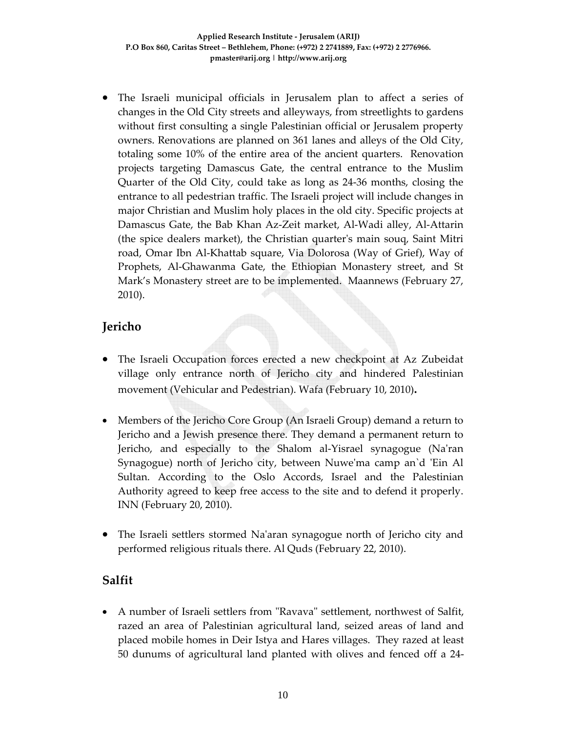• The Israeli municipal officials in Jerusalem plan to affect a series of changes in the Old City streets and alleyways, from streetlights to gardens without first consulting a single Palestinian official or Jerusalem property owners. Renovations are planned on 361 lanes and alleys of the Old City, totaling some 10% of the entire area of the ancient quarters. Renovation projects targeting Damascus Gate, the central entrance to the Muslim Quarter of the Old City, could take as long as 24‐36 months, closing the entrance to all pedestrian traffic. The Israeli project will include changes in major Christian and Muslim holy places in the old city. Specific projects at Damascus Gate, the Bab Khan Az‐Zeit market, Al‐Wadi alley, Al‐Attarin (the spice dealers market), the Christian quarterʹs main souq, Saint Mitri road, Omar Ibn Al‐Khattab square, Via Dolorosa (Way of Grief), Way of Prophets, Al‐Ghawanma Gate, the Ethiopian Monastery street, and St Mark's Monastery street are to be implemented. Maannews (February 27, 2010).

# **Jericho**

- The Israeli Occupation forces erected a new checkpoint at Az Zubeidat village only entrance north of Jericho city and hindered Palestinian movement (Vehicular and Pedestrian). Wafa (February 10, 2010)**.**
- Members of the Jericho Core Group (An Israeli Group) demand a return to Jericho and a Jewish presence there. They demand a permanent return to Jericho, and especially to the Shalom al‐Yisrael synagogue (Naʹran Synagogue) north of Jericho city, between Nuwe'ma camp an'd 'Ein Al Sultan. According to the Oslo Accords, Israel and the Palestinian Authority agreed to keep free access to the site and to defend it properly. INN (February 20, 2010).
- The Israeli settlers stormed Naʹaran synagogue north of Jericho city and performed religious rituals there. Al Quds (February 22, 2010).

# **Salfit**

• A number of Israeli settlers from "Ravava" settlement, northwest of Salfit, razed an area of Palestinian agricultural land, seized areas of land and placed mobile homes in Deir Istya and Hares villages. They razed at least 50 dunums of agricultural land planted with olives and fenced off a 24‐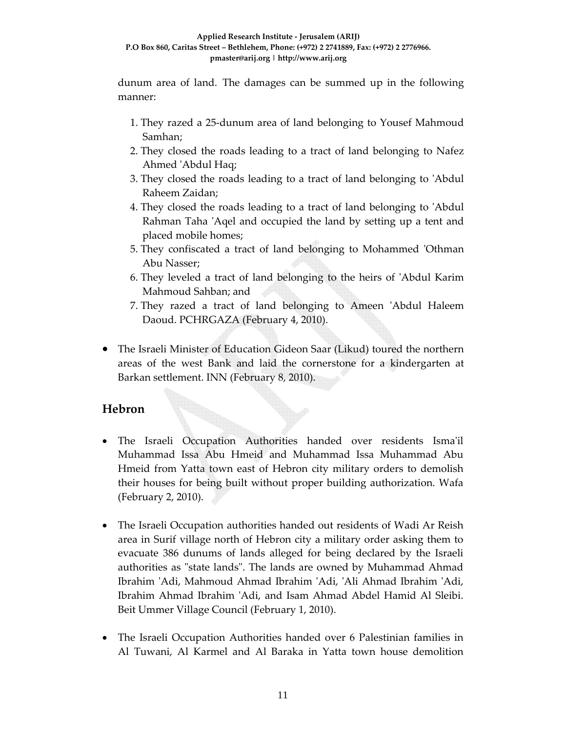dunum area of land. The damages can be summed up in the following manner:

- 1. They razed a 25‐dunum area of land belonging to Yousef Mahmoud Samhan;
- 2. They closed the roads leading to a tract of land belonging to Nafez Ahmed ʹAbdul Haq;
- 3. They closed the roads leading to a tract of land belonging to ʹAbdul Raheem Zaidan;
- 4. They closed the roads leading to a tract of land belonging to ʹAbdul Rahman Taha 'Aqel and occupied the land by setting up a tent and placed mobile homes;
- 5. They confiscated a tract of land belonging to Mohammed ʹOthman Abu Nasser;
- 6. They leveled a tract of land belonging to the heirs of ʹAbdul Karim Mahmoud Sahban; and
- 7. They razed a tract of land belonging to Ameen ʹAbdul Haleem Daoud. PCHRGAZA (February 4, 2010).
- The Israeli Minister of Education Gideon Saar (Likud) toured the northern areas of the west Bank and laid the cornerstone for a kindergarten at Barkan settlement. INN (February 8, 2010).

# **Hebron**

- The Israeli Occupation Authorities handed over residents Isma'il Muhammad Issa Abu Hmeid and Muhammad Issa Muhammad Abu Hmeid from Yatta town east of Hebron city military orders to demolish their houses for being built without proper building authorization. Wafa (February 2, 2010).
- The Israeli Occupation authorities handed out residents of Wadi Ar Reish area in Surif village north of Hebron city a military order asking them to evacuate 386 dunums of lands alleged for being declared by the Israeli authorities as "state lands". The lands are owned by Muhammad Ahmad Ibrahim ʹAdi, Mahmoud Ahmad Ibrahim ʹAdi, ʹAli Ahmad Ibrahim ʹAdi, Ibrahim Ahmad Ibrahim ʹAdi, and Isam Ahmad Abdel Hamid Al Sleibi. Beit Ummer Village Council (February 1, 2010).
- The Israeli Occupation Authorities handed over 6 Palestinian families in Al Tuwani, Al Karmel and Al Baraka in Yatta town house demolition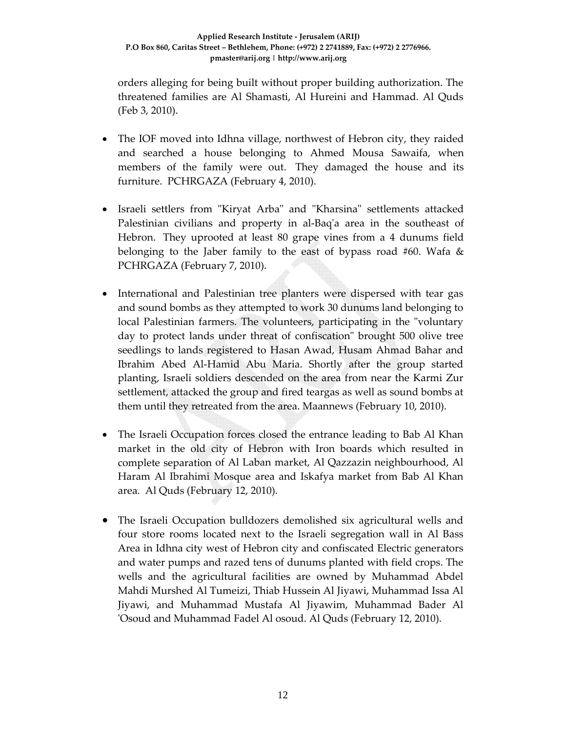orders alleging for being built without proper building authorization. The threatened families are Al Shamasti, Al Hureini and Hammad. Al Quds (Feb 3, 2010).

- The IOF moved into Idhna village, northwest of Hebron city, they raided and searched a house belonging to Ahmed Mousa Sawaifa, when members of the family were out. They damaged the house and its furniture. PCHRGAZA (February 4, 2010).
- Israeli settlers from "Kiryat Arba" and "Kharsina" settlements attacked Palestinian civilians and property in al-Baq'a area in the southeast of Hebron. They uprooted at least 80 grape vines from a 4 dunums field belonging to the Jaber family to the east of bypass road #60. Wafa  $\&$ PCHRGAZA (February 7, 2010).
- International and Palestinian tree planters were dispersed with tear gas and sound bombs as they attempted to work 30 dunums land belonging to local Palestinian farmers. The volunteers, participating in the "voluntary day to protect lands under threat of confiscation" brought 500 olive tree seedlings to lands registered to Hasan Awad, Husam Ahmad Bahar and Ibrahim Abed Al‐Hamid Abu Maria. Shortly after the group started planting, Israeli soldiers descended on the area from near the Karmi Zur settlement, attacked the group and fired teargas as well as sound bombs at them until they retreated from the area. Maannews (February 10, 2010).
- The Israeli Occupation forces closed the entrance leading to Bab Al Khan market in the old city of Hebron with Iron boards which resulted in complete separation of Al Laban market, Al Qazzazin neighbourhood, Al Haram Al Ibrahimi Mosque area and Iskafya market from Bab Al Khan area. Al Quds (February 12, 2010).
- The Israeli Occupation bulldozers demolished six agricultural wells and four store rooms located next to the Israeli segregation wall in Al Bass Area in Idhna city west of Hebron city and confiscated Electric generators and water pumps and razed tens of dunums planted with field crops. The wells and the agricultural facilities are owned by Muhammad Abdel Mahdi Murshed Al Tumeizi, Thiab Hussein Al Jiyawi, Muhammad Issa Al Jiyawi, and Muhammad Mustafa Al Jiyawim, Muhammad Bader Al ʹOsoud and Muhammad Fadel Al osoud. Al Quds (February 12, 2010).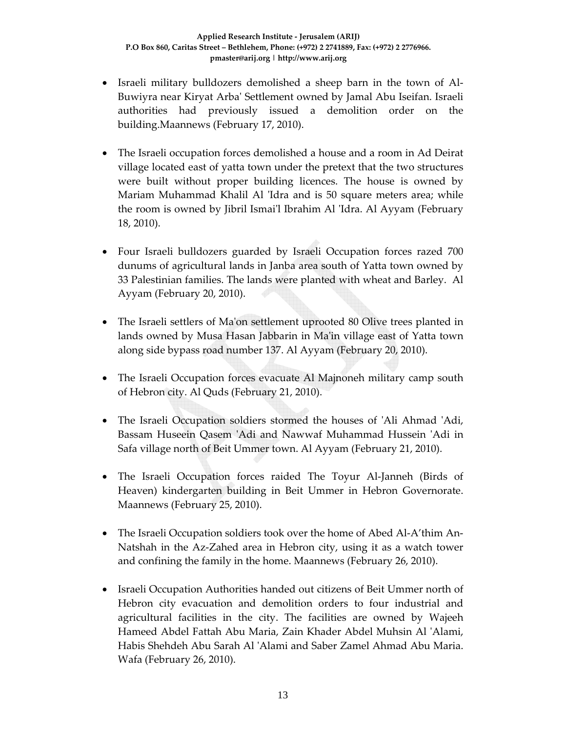- Israeli military bulldozers demolished a sheep barn in the town of Al‐ Buwiyra near Kiryat Arbaʹ Settlement owned by Jamal Abu Iseifan. Israeli authorities had previously issued a demolition order on the building.Maannews (February 17, 2010).
- The Israeli occupation forces demolished a house and a room in Ad Deirat village located east of yatta town under the pretext that the two structures were built without proper building licences. The house is owned by Mariam Muhammad Khalil Al 'Idra and is 50 square meters area; while the room is owned by Jibril Ismaiʹl Ibrahim Al ʹIdra. Al Ayyam (February 18, 2010).
- Four Israeli bulldozers guarded by Israeli Occupation forces razed 700 dunums of agricultural lands in Janba area south of Yatta town owned by 33 Palestinian families. The lands were planted with wheat and Barley. Al Ayyam (February 20, 2010).
- The Israeli settlers of Ma'on settlement uprooted 80 Olive trees planted in lands owned by Musa Hasan Jabbarin in Ma'in village east of Yatta town along side bypass road number 137. Al Ayyam (February 20, 2010).
- The Israeli Occupation forces evacuate Al Majnoneh military camp south of Hebron city. Al Quds (February 21, 2010).
- The Israeli Occupation soldiers stormed the houses of 'Ali Ahmad 'Adi, Bassam Huseein Qasem 'Adi and Nawwaf Muhammad Hussein 'Adi in Safa village north of Beit Ummer town. Al Ayyam (February 21, 2010).
- The Israeli Occupation forces raided The Toyur Al-Janneh (Birds of Heaven) kindergarten building in Beit Ummer in Hebron Governorate. Maannews (February 25, 2010).
- The Israeli Occupation soldiers took over the home of Abed Al-A'thim An-Natshah in the Az‐Zahed area in Hebron city, using it as a watch tower and confining the family in the home. Maannews (February 26, 2010).
- Israeli Occupation Authorities handed out citizens of Beit Ummer north of Hebron city evacuation and demolition orders to four industrial and agricultural facilities in the city. The facilities are owned by Wajeeh Hameed Abdel Fattah Abu Maria, Zain Khader Abdel Muhsin Al ʹAlami, Habis Shehdeh Abu Sarah Al ʹAlami and Saber Zamel Ahmad Abu Maria. Wafa (February 26, 2010).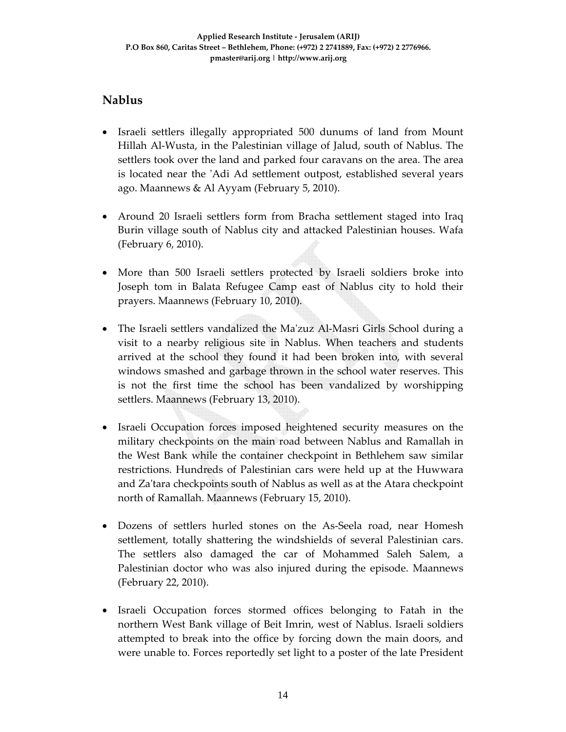# **Nablus**

- Israeli settlers illegally appropriated 500 dunums of land from Mount Hillah Al‐Wusta, in the Palestinian village of Jalud, south of Nablus. The settlers took over the land and parked four caravans on the area. The area is located near the ʹAdi Ad settlement outpost, established several years ago. Maannews & Al Ayyam (February 5, 2010).
- Around 20 Israeli settlers form from Bracha settlement staged into Iraq Burin village south of Nablus city and attacked Palestinian houses. Wafa (February 6, 2010).
- More than 500 Israeli settlers protected by Israeli soldiers broke into Joseph tom in Balata Refugee Camp east of Nablus city to hold their prayers. Maannews (February 10, 2010).
- The Israeli settlers vandalized the Ma'zuz Al-Masri Girls School during a visit to a nearby religious site in Nablus. When teachers and students arrived at the school they found it had been broken into, with several windows smashed and garbage thrown in the school water reserves. This is not the first time the school has been vandalized by worshipping settlers. Maannews (February 13, 2010).
- Israeli Occupation forces imposed heightened security measures on the military checkpoints on the main road between Nablus and Ramallah in the West Bank while the container checkpoint in Bethlehem saw similar restrictions. Hundreds of Palestinian cars were held up at the Huwwara and Za'tara checkpoints south of Nablus as well as at the Atara checkpoint north of Ramallah. Maannews (February 15, 2010).
- Dozens of settlers hurled stones on the As-Seela road, near Homesh settlement, totally shattering the windshields of several Palestinian cars. The settlers also damaged the car of Mohammed Saleh Salem, a Palestinian doctor who was also injured during the episode. Maannews (February 22, 2010).
- Israeli Occupation forces stormed offices belonging to Fatah in the northern West Bank village of Beit Imrin, west of Nablus. Israeli soldiers attempted to break into the office by forcing down the main doors, and were unable to. Forces reportedly set light to a poster of the late President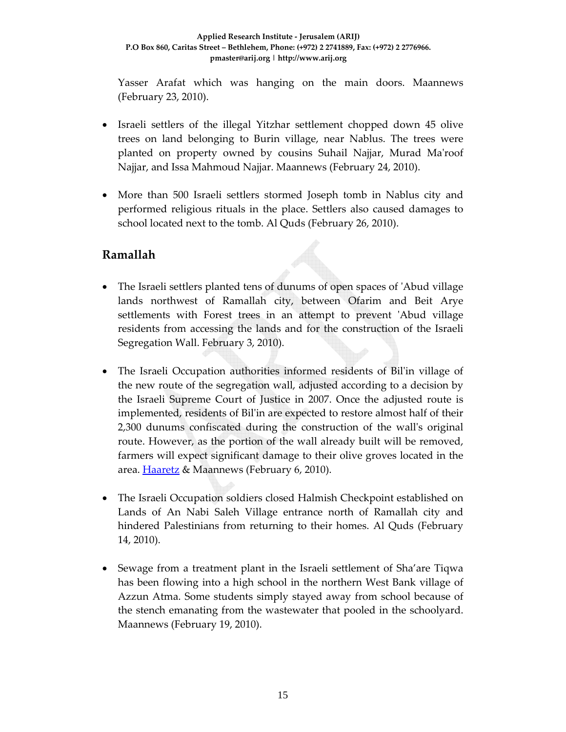Yasser Arafat which was hanging on the main doors. Maannews (February 23, 2010).

- Israeli settlers of the illegal Yitzhar settlement chopped down 45 olive trees on land belonging to Burin village, near Nablus. The trees were planted on property owned by cousins Suhail Najjar, Murad Maʹroof Najjar, and Issa Mahmoud Najjar. Maannews (February 24, 2010).
- More than 500 Israeli settlers stormed Joseph tomb in Nablus city and performed religious rituals in the place. Settlers also caused damages to school located next to the tomb. Al Quds (February 26, 2010).

## **Ramallah**

- The Israeli settlers planted tens of dunums of open spaces of 'Abud village lands northwest of Ramallah city, between Ofarim and Beit Arye settlements with Forest trees in an attempt to prevent 'Abud village residents from accessing the lands and for the construction of the Israeli Segregation Wall. February 3, 2010).
- The Israeli Occupation authorities informed residents of Bil'in village of the new route of the segregation wall, adjusted according to a decision by the Israeli Supreme Court of Justice in 2007. Once the adjusted route is implemented, residents of Bilʹin are expected to restore almost half of their 2,300 dunums confiscated during the construction of the wallʹs original route. However, as the portion of the wall already built will be removed, farmers will expect significant damage to their olive groves located in the area. **Haaretz** & Maannews (February 6, 2010).
- The Israeli Occupation soldiers closed Halmish Checkpoint established on Lands of An Nabi Saleh Village entrance north of Ramallah city and hindered Palestinians from returning to their homes. Al Quds (February 14, 2010).
- Sewage from a treatment plant in the Israeli settlement of Sha'are Tiqwa has been flowing into a high school in the northern West Bank village of Azzun Atma. Some students simply stayed away from school because of the stench emanating from the wastewater that pooled in the schoolyard. Maannews (February 19, 2010).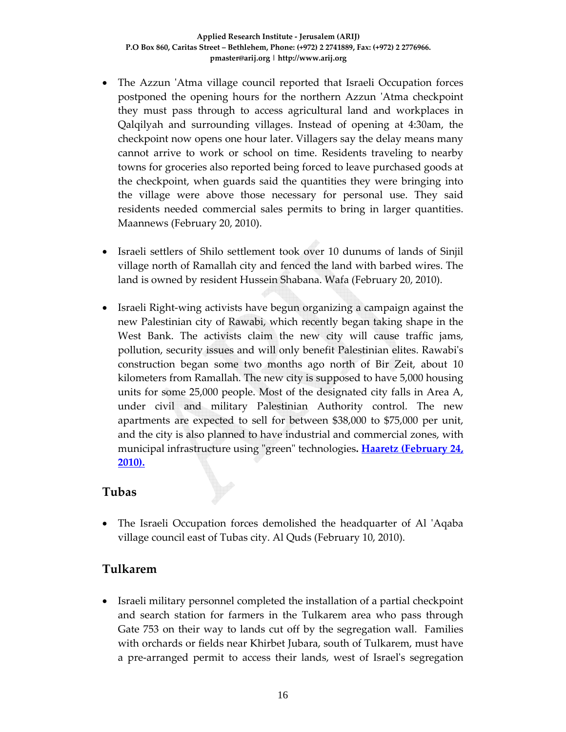- The Azzun 'Atma village council reported that Israeli Occupation forces postponed the opening hours for the northern Azzun ʹAtma checkpoint they must pass through to access agricultural land and workplaces in Qalqilyah and surrounding villages. Instead of opening at 4:30am, the checkpoint now opens one hour later. Villagers say the delay means many cannot arrive to work or school on time. Residents traveling to nearby towns for groceries also reported being forced to leave purchased goods at the checkpoint, when guards said the quantities they were bringing into the village were above those necessary for personal use. They said residents needed commercial sales permits to bring in larger quantities. Maannews (February 20, 2010).
- Israeli settlers of Shilo settlement took over 10 dunums of lands of Sinjil village north of Ramallah city and fenced the land with barbed wires. The land is owned by resident Hussein Shabana. Wafa (February 20, 2010).
- Israeli Right‐wing activists have begun organizing a campaign against the new Palestinian city of Rawabi, which recently began taking shape in the West Bank. The activists claim the new city will cause traffic jams, pollution, security issues and will only benefit Palestinian elites. Rawabiʹs construction began some two months ago north of Bir Zeit, about 10 kilometers from Ramallah. The new city is supposed to have 5,000 housing units for some 25,000 people. Most of the designated city falls in Area A, under civil and military Palestinian Authority control. The new apartments are expected to sell for between \$38,000 to \$75,000 per unit, and the city is also planned to have industrial and commercial zones, with municipal infrastructure using ʺgreenʺ technologies**. Haaretz (February 24, 2010).**

#### **Tubas**

• The Israeli Occupation forces demolished the headquarter of Al 'Aqaba village council east of Tubas city. Al Quds (February 10, 2010).

## **Tulkarem**

• Israeli military personnel completed the installation of a partial checkpoint and search station for farmers in the Tulkarem area who pass through Gate 753 on their way to lands cut off by the segregation wall. Families with orchards or fields near Khirbet Jubara, south of Tulkarem, must have a pre‐arranged permit to access their lands, west of Israelʹs segregation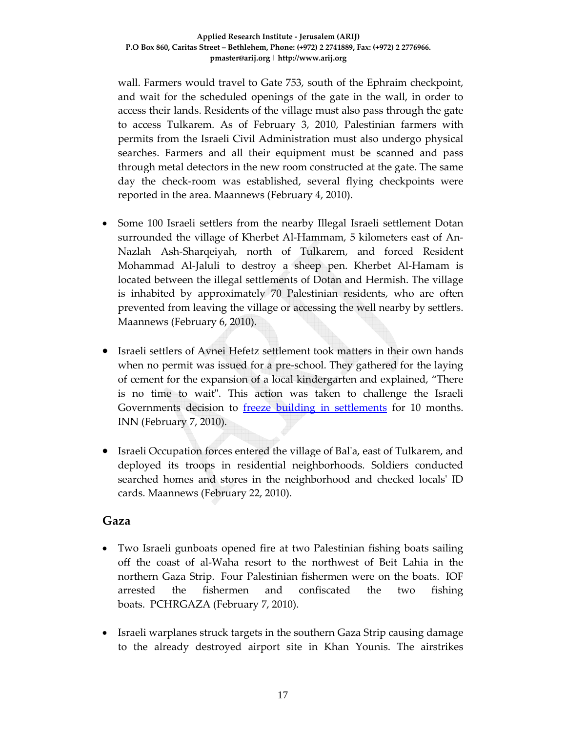wall. Farmers would travel to Gate 753, south of the Ephraim checkpoint, and wait for the scheduled openings of the gate in the wall, in order to access their lands. Residents of the village must also pass through the gate to access Tulkarem. As of February 3, 2010, Palestinian farmers with permits from the Israeli Civil Administration must also undergo physical searches. Farmers and all their equipment must be scanned and pass through metal detectors in the new room constructed at the gate. The same day the check‐room was established, several flying checkpoints were reported in the area. Maannews (February 4, 2010).

- Some 100 Israeli settlers from the nearby Illegal Israeli settlement Dotan surrounded the village of Kherbet Al-Hammam, 5 kilometers east of An-Nazlah Ash‐Sharqeiyah, north of Tulkarem, and forced Resident Mohammad Al‐Jaluli to destroy a sheep pen. Kherbet Al‐Hamam is located between the illegal settlements of Dotan and Hermish. The village is inhabited by approximately 70 Palestinian residents, who are often prevented from leaving the village or accessing the well nearby by settlers. Maannews (February 6, 2010).
- Israeli settlers of Avnei Hefetz settlement took matters in their own hands when no permit was issued for a pre-school. They gathered for the laying of cement for the expansion of a local kindergarten and explained, "There is no time to wait". This action was taken to challenge the Israeli Governments decision to **freeze** building in settlements for 10 months. INN (February 7, 2010).
- Israeli Occupation forces entered the village of Balʹa, east of Tulkarem, and deployed its troops in residential neighborhoods. Soldiers conducted searched homes and stores in the neighborhood and checked localsʹ ID cards. Maannews (February 22, 2010).

#### **Gaza**

- Two Israeli gunboats opened fire at two Palestinian fishing boats sailing off the coast of al‐Waha resort to the northwest of Beit Lahia in the northern Gaza Strip. Four Palestinian fishermen were on the boats. IOF arrested the fishermen and confiscated the two fishing boats. PCHRGAZA (February 7, 2010).
- Israeli warplanes struck targets in the southern Gaza Strip causing damage to the already destroyed airport site in Khan Younis. The airstrikes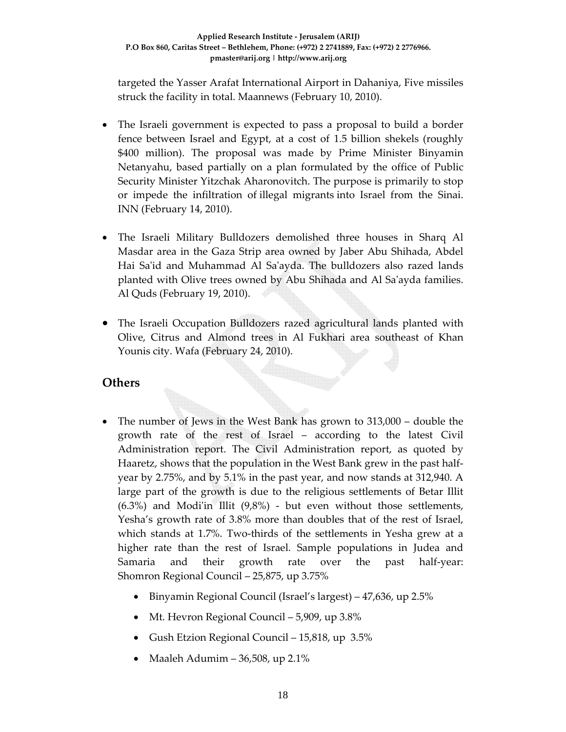targeted the Yasser Arafat International Airport in Dahaniya, Five missiles struck the facility in total. Maannews (February 10, 2010).

- The Israeli government is expected to pass a proposal to build a border fence between Israel and Egypt, at a cost of 1.5 billion shekels (roughly \$400 million). The proposal was made by Prime Minister Binyamin Netanyahu, based partially on a plan formulated by the office of Public Security Minister Yitzchak Aharonovitch. The purpose is primarily to stop or impede the infiltration of illegal migrants into Israel from the Sinai. INN (February 14, 2010).
- The Israeli Military Bulldozers demolished three houses in Sharq Al Masdar area in the Gaza Strip area owned by Jaber Abu Shihada, Abdel Hai Saʹid and Muhammad Al Saʹayda. The bulldozers also razed lands planted with Olive trees owned by Abu Shihada and Al Saʹayda families. Al Quds (February 19, 2010).
- The Israeli Occupation Bulldozers razed agricultural lands planted with Olive, Citrus and Almond trees in Al Fukhari area southeast of Khan Younis city. Wafa (February 24, 2010).

## **Others**

- The number of Jews in the West Bank has grown to 313,000 double the growth rate of the rest of Israel – according to the latest Civil Administration report. The Civil Administration report, as quoted by Haaretz, shows that the population in the West Bank grew in the past half‐ year by 2.75%, and by 5.1% in the past year, and now stands at 312,940. A large part of the growth is due to the religious settlements of Betar Illit  $(6.3%)$  and Modi'in Illit  $(9.8%)$  - but even without those settlements, Yesha's growth rate of 3.8% more than doubles that of the rest of Israel, which stands at 1.7%. Two‐thirds of the settlements in Yesha grew at a higher rate than the rest of Israel. Sample populations in Judea and Samaria and their growth rate over the past half-year: Shomron Regional Council – 25,875, up 3.75%
	- Binyamin Regional Council (Israel's largest) 47,636, up 2.5%
	- Mt. Hevron Regional Council 5,909, up 3.8%
	- Gush Etzion Regional Council 15,818, up 3.5%
	- Maaleh Adumim 36,508, up 2.1%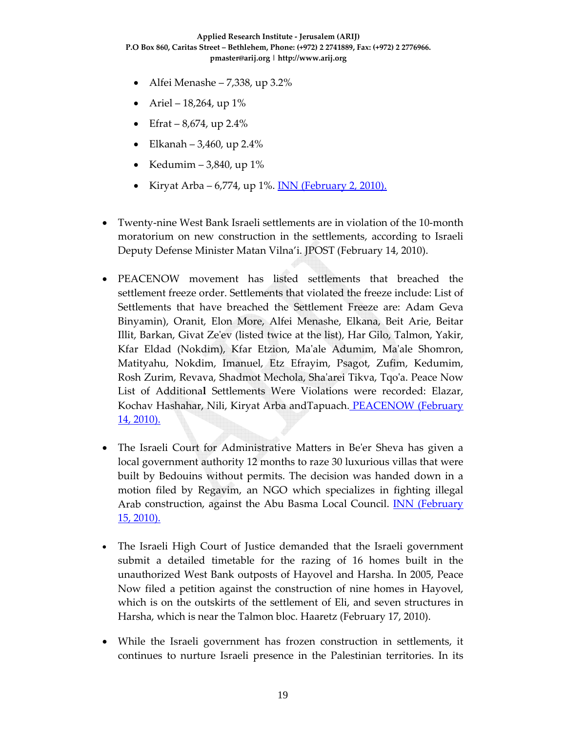- Alfei Menashe 7,338, up 3.2%
- Ariel  $18,264$ , up  $1\%$
- Efrat  $8,674$ , up 2.4%
- Elkanah 3,460, up 2.4%
- Kedumim 3,840, up  $1\%$
- Kiryat Arba 6,774, up 1%. INN (February 2, 2010).
- Twenty‐nine West Bank Israeli settlements are in violation of the 10‐month moratorium on new construction in the settlements, according to Israeli Deputy Defense Minister Matan Vilna'i. JPOST (February 14, 2010).
- PEACENOW movement has listed settlements that breached the settlement freeze order. Settlements that violated the freeze include: List of Settlements that have breached the Settlement Freeze are: Adam Geva Binyamin), Oranit, Elon More, Alfei Menashe, Elkana, Beit Arie, Beitar Illit, Barkan, Givat Zeʹev (listed twice at the list), Har Gilo, Talmon, Yakir, Kfar Eldad (Nokdim), Kfar Etzion, Maʹale Adumim, Maʹale Shomron, Matityahu, Nokdim, Imanuel, Etz Efrayim, Psagot, Zufim, Kedumim, Rosh Zurim, Revava, Shadmot Mechola, Shaʹarei Tikva, Tqoʹa. Peace Now List of Additiona**l** Settlements Were Violations were recorded: Elazar, Kochav Hashahar, Nili, Kiryat Arba andTapuach. PEACENOW (February 14, 2010).
- The Israeli Court for Administrative Matters in Be'er Sheva has given a local government authority 12 months to raze 30 luxurious villas that were built by Bedouins without permits. The decision was handed down in a motion filed by Regavim, an NGO which specializes in fighting illegal Arab construction, against the Abu Basma Local Council. INN (February 15, 2010).
- The Israeli High Court of Justice demanded that the Israeli government submit a detailed timetable for the razing of 16 homes built in the unauthorized West Bank outposts of Hayovel and Harsha. In 2005, Peace Now filed a petition against the construction of nine homes in Hayovel, which is on the outskirts of the settlement of Eli, and seven structures in Harsha, which is near the Talmon bloc. Haaretz (February 17, 2010).
- While the Israeli government has frozen construction in settlements, it continues to nurture Israeli presence in the Palestinian territories. In its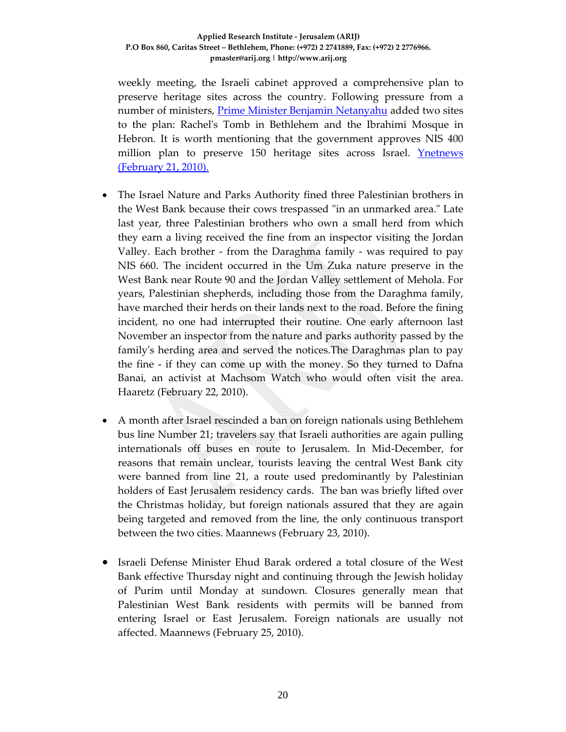weekly meeting, the Israeli cabinet approved a comprehensive plan to preserve heritage sites across the country. Following pressure from a number of ministers, **Prime Minister Benjamin Netanyahu** added two sites to the plan: Rachelʹs Tomb in Bethlehem and the Ibrahimi Mosque in Hebron. It is worth mentioning that the government approves NIS 400 million plan to preserve 150 heritage sites across Israel. **Ynetnews** (February 21, 2010).

- The Israel Nature and Parks Authority fined three Palestinian brothers in the West Bank because their cows trespassed "in an unmarked area." Late last year, three Palestinian brothers who own a small herd from which they earn a living received the fine from an inspector visiting the Jordan Valley. Each brother ‐ from the Daraghma family ‐ was required to pay NIS 660. The incident occurred in the Um Zuka nature preserve in the West Bank near Route 90 and the Jordan Valley settlement of Mehola. For years, Palestinian shepherds, including those from the Daraghma family, have marched their herds on their lands next to the road. Before the fining incident, no one had interrupted their routine. One early afternoon last November an inspector from the nature and parks authority passed by the family's herding area and served the notices. The Daraghmas plan to pay the fine ‐ if they can come up with the money. So they turned to Dafna Banai, an activist at Machsom Watch who would often visit the area. Haaretz (February 22, 2010).
- A month after Israel rescinded a ban on foreign nationals using Bethlehem bus line Number 21; travelers say that Israeli authorities are again pulling internationals off buses en route to Jerusalem. In Mid‐December, for reasons that remain unclear, tourists leaving the central West Bank city were banned from line 21, a route used predominantly by Palestinian holders of East Jerusalem residency cards. The ban was briefly lifted over the Christmas holiday, but foreign nationals assured that they are again being targeted and removed from the line, the only continuous transport between the two cities. Maannews (February 23, 2010).
- Israeli Defense Minister Ehud Barak ordered a total closure of the West Bank effective Thursday night and continuing through the Jewish holiday of Purim until Monday at sundown. Closures generally mean that Palestinian West Bank residents with permits will be banned from entering Israel or East Jerusalem. Foreign nationals are usually not affected. Maannews (February 25, 2010).